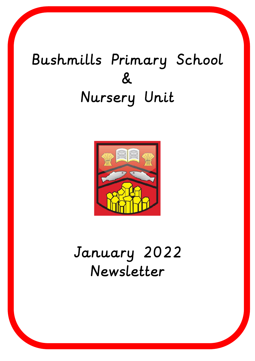# Bushmills Primary School & Nursery Unit



# January 2022 Newsletter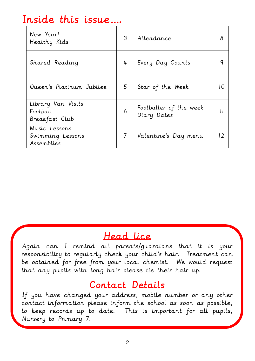#### Inside this issue….

| New Year!<br>Healthy Kids                        | 3 | Attendance                            | 8  |
|--------------------------------------------------|---|---------------------------------------|----|
| Shared Reading                                   | 4 | Every Day Counts                      |    |
| Queen's Platinum Jubilee                         | 5 | Star of the Week                      |    |
| Library Van Visits<br>Football<br>Breakfast Club | 6 | Footballer of the week<br>Diary Dates |    |
| Music Lessons<br>Swimming Lessons<br>Assemblies  |   | Valentine's Day menu                  | 12 |

#### Head lice

Again can I remind all parents/guardians that it is your responsibility to regularly check your child's hair. Treatment can be obtained for free from your local chemist. We would request that any pupils with long hair please tie their hair up.

#### Contact Details

If you have changed your address, mobile number or any other contact information please inform the school as soon as possible, to keep records up to date. This is important for all pupils, Nursery to Primary 7.

٦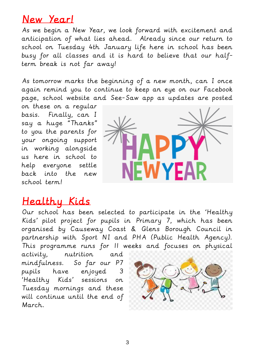#### New Year!

As we begin a New Year, we look forward with excitement and anticipation of what lies ahead. Already since our return to school on Tuesday 4th January life here in school has been busy for all classes and it is hard to believe that our halfterm break is not far away!

As tomorrow marks the beginning of a new month, can I once again remind you to continue to keep an eye on our Facebook page, school website and See-Saw app as updates are posted

on these on a regular basis. Finally, can I say a huge "Thanks" to you the parents for your ongoing support in working alongside us here in school to help everyone settle back into the new school term!



#### Healthy Kids

Our school has been selected to participate in the 'Healthy Kids' pilot project for pupils in Primary 7, which has been organised by Causeway Coast & Glens Borough Council in partnership with Sport NI and PHA (Public Health Agency). This programme runs for 11 weeks and focuses on physical

activity, nutrition and mindfulness. So far our P7 pupils have enjoyed 3 'Healthy Kids' sessions on Tuesday mornings and these will continue until the end of March.

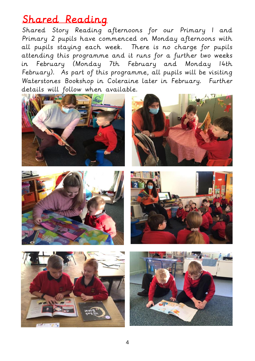#### Shared Reading

Shared Story Reading afternoons for our Primary 1 and Primary 2 pupils have commenced on Monday afternoons with all pupils staying each week. There is no charge for pupils attending this programme and it runs for a further two weeks in February (Monday 7th February and Monday 14th February). As part of this programme, all pupils will be visiting Waterstones Bookshop in Coleraine later in February. Further details will follow when available.











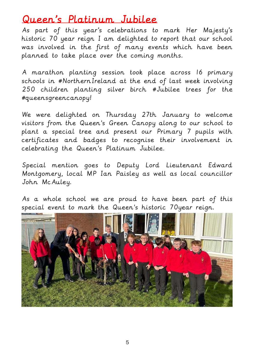#### Queen 's Platinum Jubilee

As part of this year's celebrations to mark Her Majesty's historic 70 year reign I am delighted to report that our school was involved in the first of many events which have been planned to take place over the coming months.

A marathon planting session took place across 16 primary schools in #NorthernIreland at the end of last week involving 250 children planting silver birch #Jubilee trees for the #queensgreencanopy!

We were delighted on Thursday 27th January to welcome visitors from the Queen's Green [Canopy](https://www.facebook.com/QueensGreenCanopy/?__cft__%5b0%5d=AZUOGoV-pyfRkm4PKqa4Llc6Rajc3rgusosN7POGTh4OPW5pTFQewrvD1BRhd3Vr9OsDfkNJdOKhIrX5fe7Ozhmx_1axH3L4YQQlq7SfvXhYs1dLw8r_thVMy3XMnvoknSms1TPlbA7odEvIoqpfw0qH-Y73htL-K9c8k0cxMa-LGg&__tn__=kK-R) along to our school to plant a special tree and present our Primary 7 pupils with certificates and badges to recognise their involvement in celebrating the Queen's Platinum Jubilee.

Special mention goes to Deputy Lord Lieutenant Edward Montgomery, local MP Ian Paisley as well as local councillor John McAuley.

As a whole school we are proud to have been part of this special event to mark the Queen's historic 70year reign.

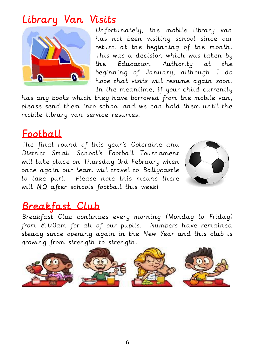#### Library Van Visits



Unfortunately, the mobile library van has not been visiting school since our return at the beginning of the month. This was a decision which was taken by the Education Authority at the beginning of January, although I do hope that visits will resume again soon. In the meantime, if your child currently

has any books which they have borrowed from the mobile van, please send them into school and we can hold them until the mobile library van service resumes.

#### Football

The final round of this year's Coleraine and District Small School's Football Tournament will take place on Thursday 3rd February when once again our team will travel to Ballycastle to take part. Please note this means there will NO after schools football this week!



#### Breakfast Club

Breakfast Club continues every morning (Monday to Friday) from 8:00am for all of our pupils. Numbers have remained steady since opening again in the New Year and this club is growing from strength to strength.

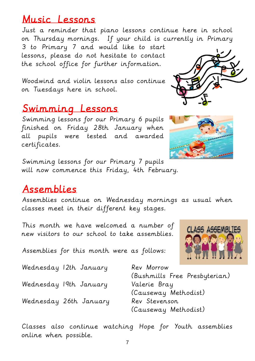#### Music Lessons

Just a reminder that piano lessons continue here in school on Thursday mornings. If your child is currently in Primary

3 to Primary 7 and would like to start lessons, please do not hesitate to contact the school office for further information.

Woodwind and violin lessons also continue on Tuesdays here in school.

#### Swimming Lessons

Swimming lessons for our Primary 6 pupils finished on Friday 28th January when all pupils were tested and awarded certificates.

Swimming lessons for our Primary 7 pupils will now commence this Friday, 4th February.

#### Assemblies

Assemblies continue on Wednesday mornings as usual when classes meet in their different key stages.

This month we have welcomed a number of new visitors to our school to take assemblies.

Assemblies for this month were as follows:

Wednesday 12th January Rev Morrow

Wednesday 19th January Valerie Bray

Wednesday 26th January Rev Stevenson

(Bushmills Free Presbyterian) (Causeway Methodist) (Causeway Methodist)

Classes also continue watching Hope for Youth assemblies online when possible.



**CLASS ASSEMBLIFS** 

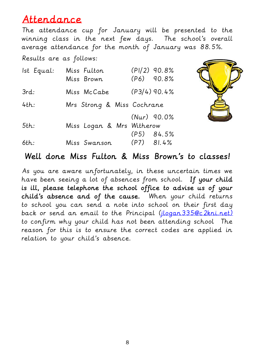#### Attendance

The attendance cup for January will be presented to the winning class in the next few days. The school's overall average attendance for the month of January was 88.5%.

Results are as follows:

| Ist Equal: | Miss Fulton<br>Miss Brown  | $(PI/2)$ 90.8%<br>$(P6)$ 90.8% |
|------------|----------------------------|--------------------------------|
| 3rd:       | Miss McCabe                | $(P3/4)$ 90.4%                 |
| 4th:       | Mrs Strong & Miss Cochrane |                                |
|            |                            | $(Nur)$ 90.0%                  |
| $5th$ :    | Miss Logan & Mrs Witherow  |                                |
|            |                            | $(P5)$ 84.5%                   |
| 6th:       | Miss Swanson               | $(P7)$ 81.4%                   |



#### Well done Miss Fulton & Miss Brown's to classes!

As you are aware unfortunately, in these uncertain times we have been seeing a lot of absences from school. If your child is ill, please telephone the school office to advise us of your child's absence and of the cause. When your child returns to school you can send a note into school on their first day back or send an email to the Principal [\(jlogan335@c2kni.net\)](mailto:jlogan335@c2kni.net) to confirm why your child has not been attending school The reason for this is to ensure the correct codes are applied in relation to your child's absence.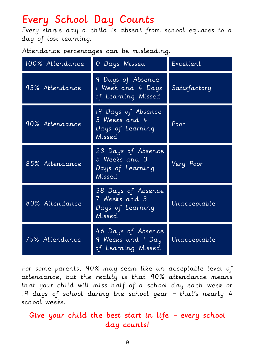## Every School Day Counts

Every single day a child is absent from school equates to a day of lost learning.

Attendance percentages can be misleading.

| 100% Attendance | 0 Days Missed                                                     | Excellent    |
|-----------------|-------------------------------------------------------------------|--------------|
| 95% Attendance  | 9 Days of Absence<br>I Week and 4 Days<br>of Learning Missed      | Satisfactory |
| 90% Attendance  | 19 Days of Absence<br>3 Weeks and 4<br>Days of Learning<br>Missed | Poor         |
| 85% Attendance  | 28 Days of Absence<br>5 Weeks and 3<br>Days of Learning<br>Missed | Very Poor    |
| 80% Attendance  | 38 Days of Absence<br>7 Weeks and 3<br>Days of Learning<br>Missed | Unacceptable |
| 75% Attendance  | 46 Days of Absence<br>9 Weeks and I Day<br>of Learning Missed     | Unacceptable |

For some parents, 90% may seem like an acceptable level of attendance, but the reality is that 90% attendance means that your child will miss half of a school day each week or 19 days of school during the school year – that's nearly 4 school weeks.

#### Give your child the best start in life – every school day counts!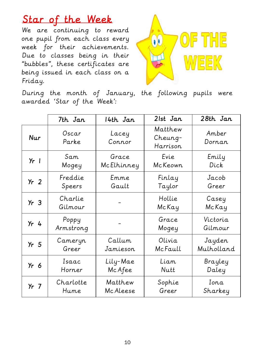## Star of the Week

We are continuing to reward one pupil from each class every week for their achievements. Due to classes being in their "bubbles", these certificates are being issued in each class on a Friday.



During the month of January, the following pupils were awarded 'Star of the Week':

|                   | 7th Jan            | 14th Jan        | 21st Jan                       | 28th Jan            |
|-------------------|--------------------|-----------------|--------------------------------|---------------------|
| <b>Nur</b>        | Oscar<br>Parke     | Lacey<br>Connor | Matthew<br>Cheung-<br>Harrison | Amber<br>Dornan     |
| $Yr$              | Sam                | Grace           | Evie                           | Emily               |
|                   | Mogey              | McElhinney      | McKeown                        | Dick                |
| Yr <sub>2</sub>   | Freddie            | Emme            | Finlay                         | Jacob               |
|                   | Speers             | Gault           | Taylor                         | Greer               |
| Yr <sub>3</sub>   | Charlie<br>Gilmour |                 | Hollie<br>McKay                | Casey<br>McKay      |
| $Yr$ 4            | Poppy<br>Armstrong |                 | Grace<br>Mogey                 | Victoria<br>Gilmour |
| Yr <sub>r</sub> 5 | Cameryn            | Callum          | Olivia                         | Jayden              |
|                   | Greer              | Jamieson        | McFaull                        | Mulholland          |
| Yr <sub>6</sub>   | Isaac              | Lily-Mae        | Liam                           | Brayley             |
|                   | Horner             | Mc Afee         | Nutt                           | Daley               |
| $Yr$ 7            | Charlotte          | Matthew         | Sophie                         | Ion.a.              |
|                   | Hume               | Mc Aleese       | Greer                          | Sharkey             |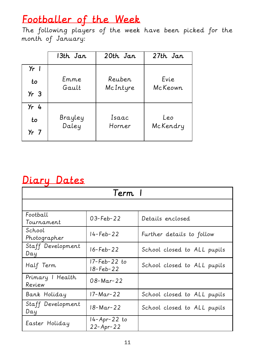## Footballer of the Week

The following players of the week have been picked for the month of January:

|                                 | 13th Jan         | 20th Jan           | 27th Jan        |
|---------------------------------|------------------|--------------------|-----------------|
| $Yr$  <br>to<br>Yr <sub>3</sub> | Em.m.e.<br>Gault | Reuben<br>McIntyre | Evie<br>McKeown |
| $Yr$ 4<br>to<br>$Yr$ 7          | Brayley<br>Daley | Isaac<br>Horn.e.r  | Leo<br>McKendry |

#### Diary Dates

| Term 1                     |                           |                             |  |
|----------------------------|---------------------------|-----------------------------|--|
|                            |                           |                             |  |
| Football<br>Tournament     | $03 - Feb - 22$           | Details enclosed            |  |
| School<br>Photographer     | $14 - Feb - 22$           | Further details to follow   |  |
| Staff Development<br>Day   | 16-Feb-22                 | School closed to ALL pupils |  |
| Half Term                  | 17-Feb-22 to<br>18-Feb-22 | School closed to ALL pupils |  |
| Primary   Health<br>Review | $08 - \text{Mar} - 22$    |                             |  |
| Bank Holiday               | 17-Mar-22                 | School closed to ALL pupils |  |
| Staff Development<br>Day   | 18-Mar-22                 | School closed to ALL pupils |  |
| Easter Holiday             | 14-Apr-22 to<br>22-Apr-22 |                             |  |